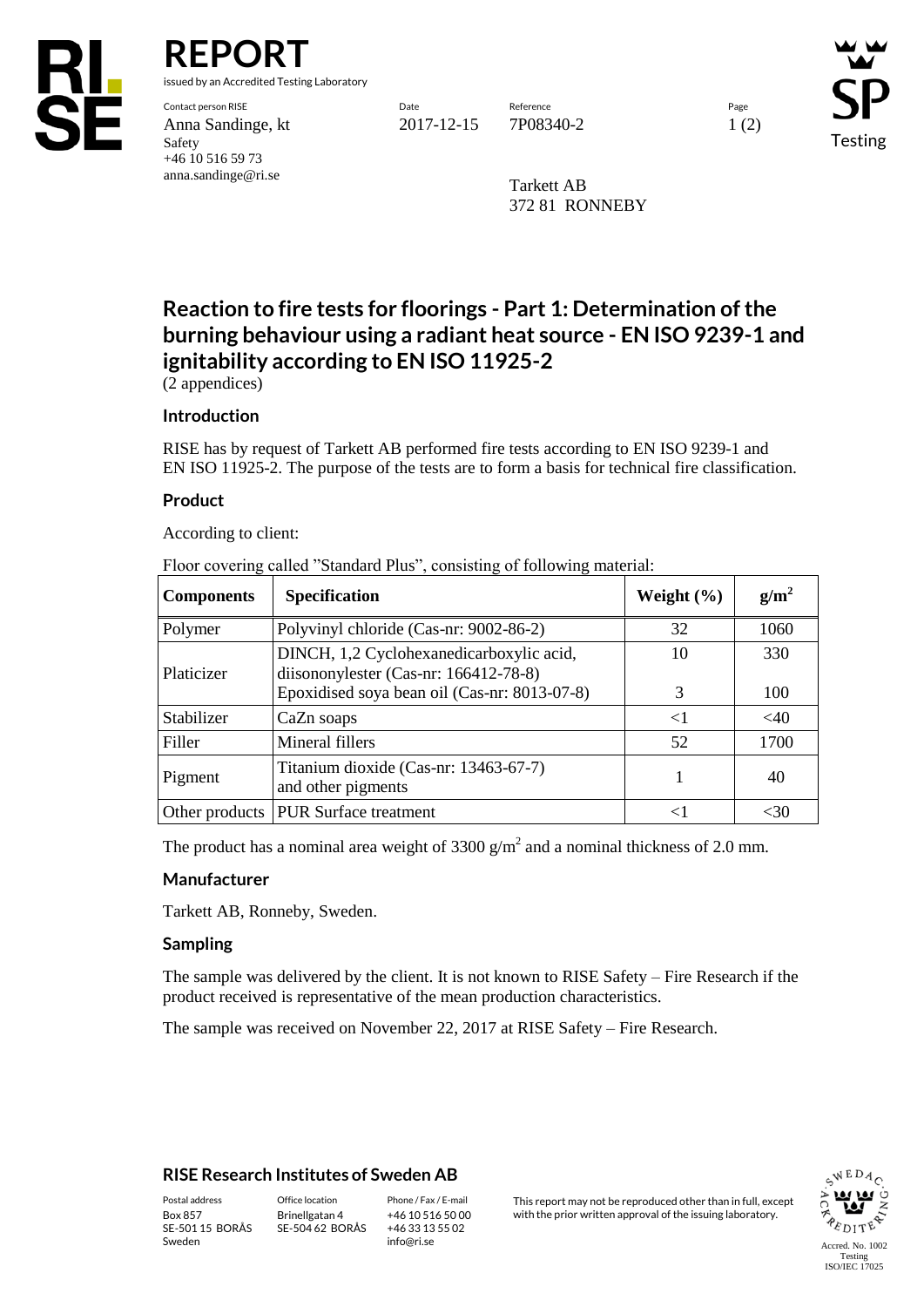

**REPORT**

issued by an Accredited Testing Laboratory

Contact person RISE Date Reference Page Anna Sandinge, kt 2017-12-15 7P08340-2 1 (2) Safety +46 10 516 59 73 anna.sandinge@ri.se

Testing

Tarkett AB 372 81 RONNEBY

# **Reaction to fire tests for floorings - Part 1: Determination of the burning behaviour using a radiant heat source - EN ISO 9239-1 and ignitability according to EN ISO 11925-2**

(2 appendices)

### **Introduction**

RISE has by request of Tarkett AB performed fire tests according to EN ISO 9239-1 and EN ISO 11925-2. The purpose of the tests are to form a basis for technical fire classification.

### **Product**

According to client:

Floor covering called "Standard Plus", consisting of following material:

| <b>Components</b> | <b>Specification</b>                                                                                                              | Weight $(\% )$ | $g/m^2$    |
|-------------------|-----------------------------------------------------------------------------------------------------------------------------------|----------------|------------|
| Polymer           | Polyvinyl chloride (Cas-nr: 9002-86-2)                                                                                            | 32             | 1060       |
| Platicizer        | DINCH, 1,2 Cyclohexanedicarboxylic acid,<br>diisononylester (Cas-nr: 166412-78-8)<br>Epoxidised soya bean oil (Cas-nr: 8013-07-8) | 10<br>3        | 330<br>100 |
| Stabilizer        | CaZn soaps                                                                                                                        | $\leq$         | $<$ 40     |
| Filler            | Mineral fillers                                                                                                                   | 52             | 1700       |
| Pigment           | Titanium dioxide (Cas-nr: 13463-67-7)<br>and other pigments                                                                       |                | 40         |
|                   | Other products   PUR Surface treatment                                                                                            |                | -30        |

The product has a nominal area weight of 3300  $g/m^2$  and a nominal thickness of 2.0 mm.

### **Manufacturer**

Tarkett AB, Ronneby, Sweden.

### **Sampling**

The sample was delivered by the client. It is not known to RISE Safety – Fire Research if the product received is representative of the mean production characteristics.

The sample was received on November 22, 2017 at RISE Safety – Fire Research.

### **RISE Research Institutes of Sweden AB**

SE-501 15 BORÅS Sweden

Brinellgatan 4 SE-504 62 BORÅS

+46 10 516 50 00 +46 33 13 55 02 info@ri.se

Postal address Office location Phone / Fax / E-mail This report may not be reproduced other than in full, except<br>
Phone / Fax / E-mail This report may not be reproduced other than in full, except<br>
With the prior written ap with the prior written approval of the issuing laboratory.

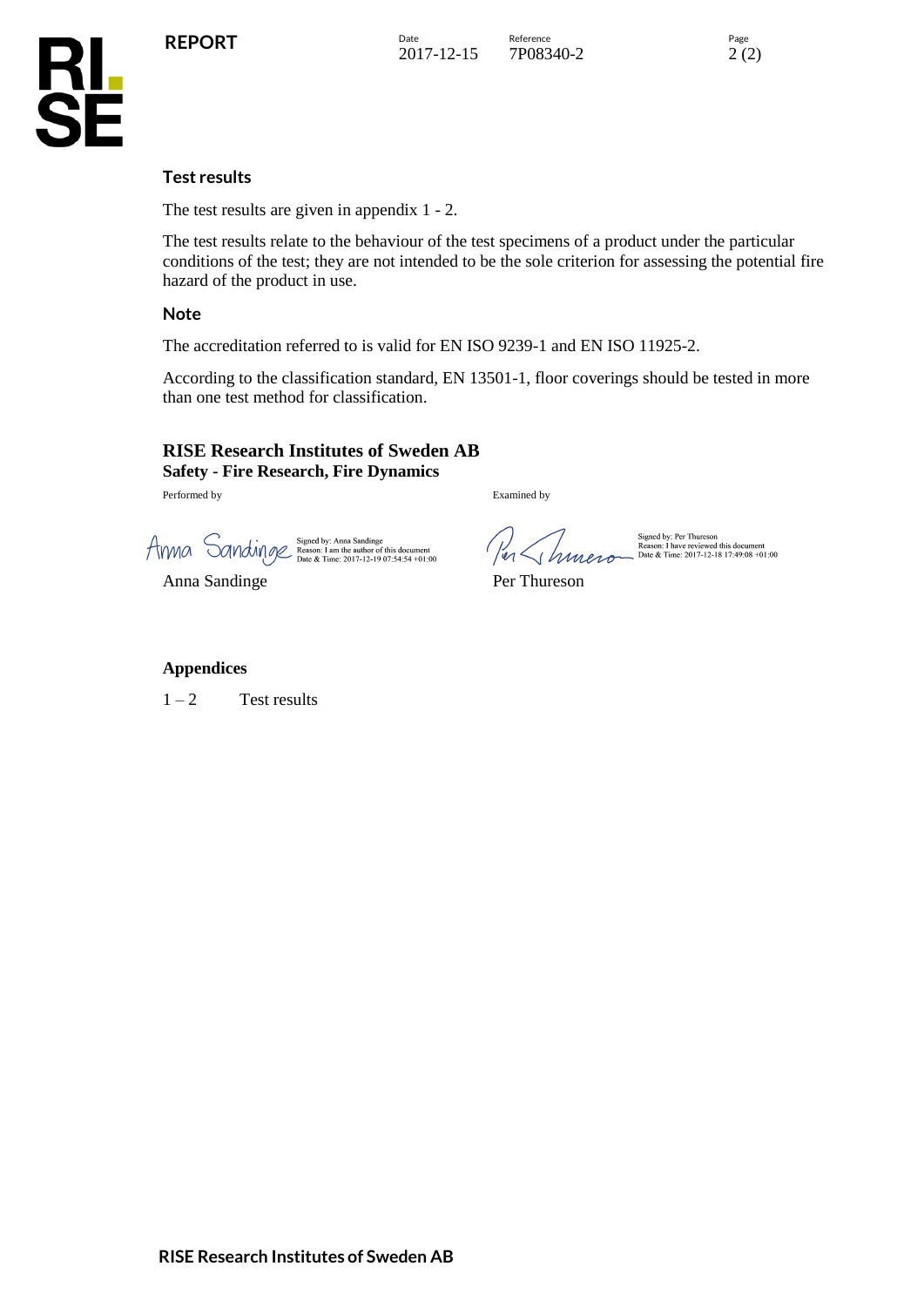

**KL<br>SE** 

The test results are given in appendix 1 - 2.

The test results relate to the behaviour of the test specimens of a product under the particular conditions of the test; they are not intended to be the sole criterion for assessing the potential fire hazard of the product in use.

### **Note**

The accreditation referred to is valid for EN ISO 9239-1 and EN ISO 11925-2.

According to the classification standard, EN 13501-1, floor coverings should be tested in more than one test method for classification.

### **RISE Research Institutes of Sweden AB Safety - Fire Research, Fire Dynamics**

Performed by Examined by Examined by

AMMOL Signed by: Anna Sandinge<br>
Date & Time: 2017-12-19 07:54:54 +01:00<br>
Date & Time: 2017-12-19 07:54:54 +01:00<br>
Date & Time: 2017-12-19 07:54:54 +01:00

Anna Sandinge Per Thureson

### **Appendices**

 $1 - 2$  Test results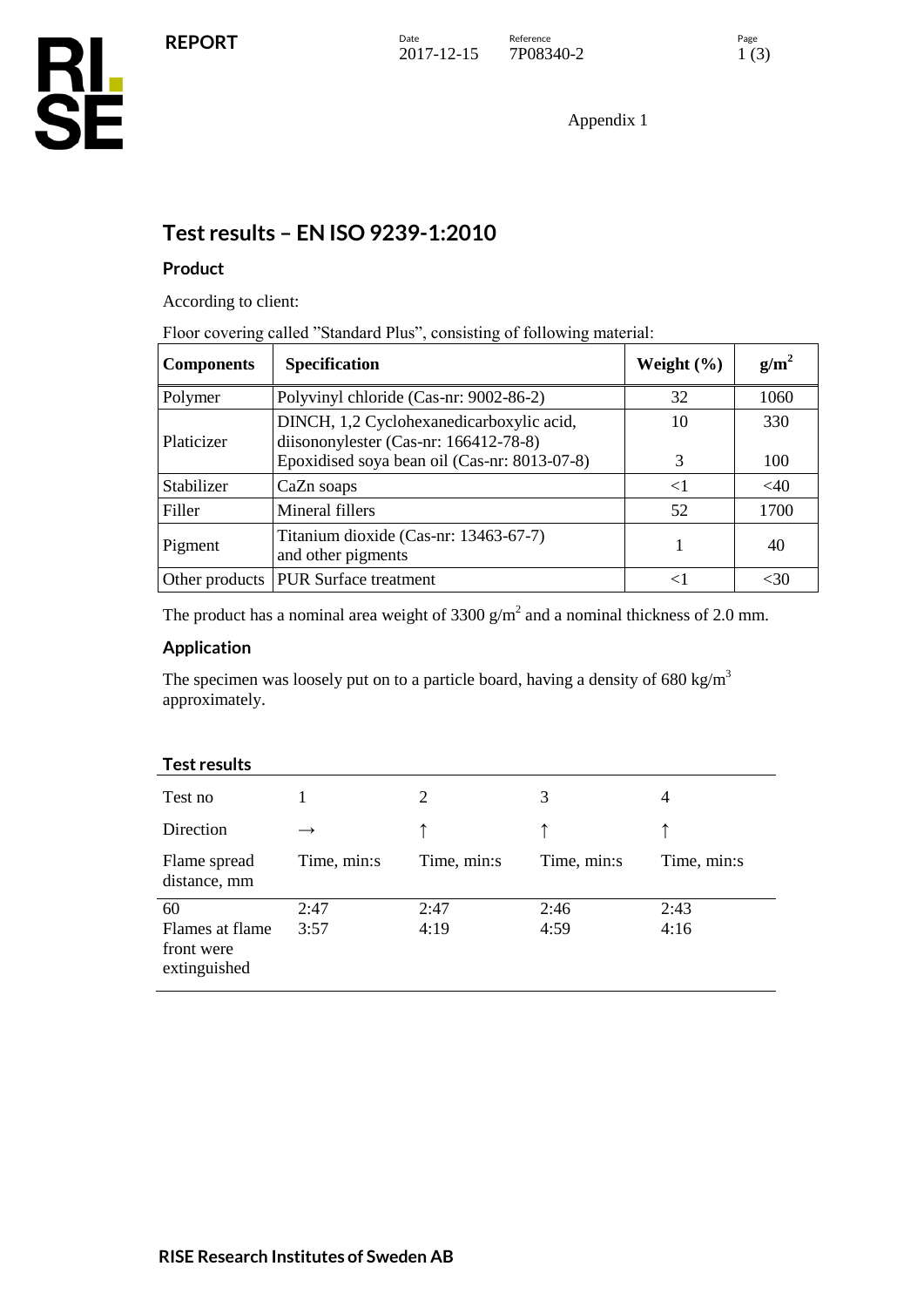Appendix 1

## **Test results – EN ISO 9239-1:2010**

### **Product**

According to client:

Floor covering called "Standard Plus", consisting of following material:

| <b>Components</b> | <b>Specification</b>                                                                                                              | Weight $(\% )$ | $g/m^2$    |
|-------------------|-----------------------------------------------------------------------------------------------------------------------------------|----------------|------------|
| Polymer           | Polyvinyl chloride (Cas-nr: 9002-86-2)                                                                                            | 32             | 1060       |
| Platicizer        | DINCH, 1,2 Cyclohexanedicarboxylic acid,<br>diisononylester (Cas-nr: 166412-78-8)<br>Epoxidised soya bean oil (Cas-nr: 8013-07-8) | 10<br>3        | 330<br>100 |
| Stabilizer        | CaZn soaps                                                                                                                        | $\leq$ 1       | $<$ 40     |
| Filler            | Mineral fillers                                                                                                                   | 52             | 1700       |
| Pigment           | Titanium dioxide (Cas-nr: 13463-67-7)<br>and other pigments                                                                       |                | 40         |
| Other products    | <b>PUR Surface treatment</b>                                                                                                      | ╭              | <30        |

The product has a nominal area weight of 3300  $g/m^2$  and a nominal thickness of 2.0 mm.

### **Application**

The specimen was loosely put on to a particle board, having a density of  $680 \text{ kg/m}^3$ approximately.

| 1 сэг 1 сэчнэ                                 |             |             |             |                |
|-----------------------------------------------|-------------|-------------|-------------|----------------|
| Test no                                       |             | 2           | 3           | $\overline{4}$ |
| Direction                                     |             |             |             |                |
| Flame spread<br>distance, mm                  | Time, min:s | Time, min:s | Time, min:s | Time, min:s    |
| 60                                            | 2:47        | 2:47        | 2:46        | 2:43           |
| Flames at flame<br>front were<br>extinguished | 3:57        | 4:19        | 4:59        | 4:16           |

### **Test results**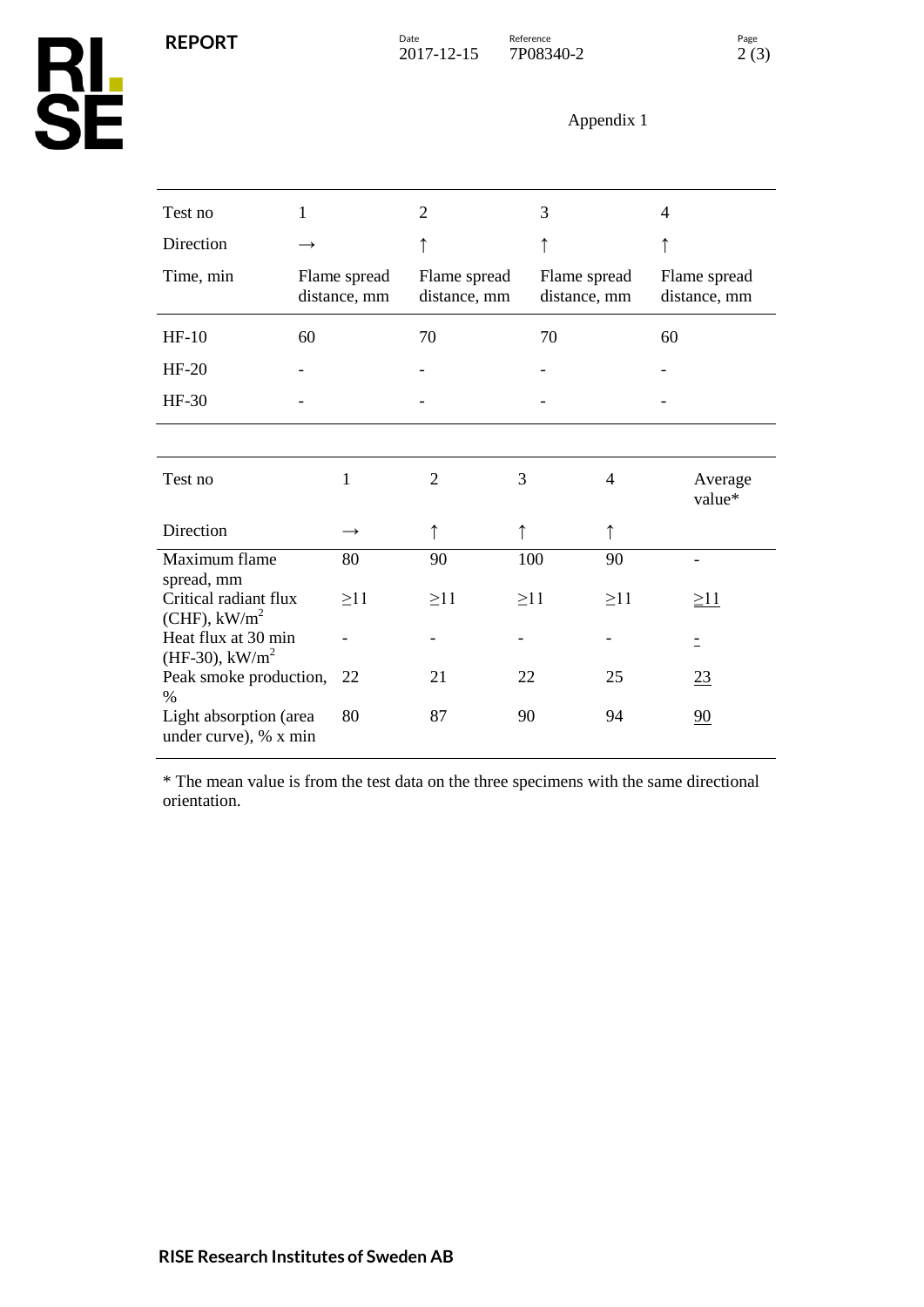**REPORT**

# Appendix 1

| Test no                                                            | $\mathbf{1}$ |                              | $\overline{2}$               | 3         |                              | 4                            |
|--------------------------------------------------------------------|--------------|------------------------------|------------------------------|-----------|------------------------------|------------------------------|
| Direction                                                          |              |                              |                              |           |                              |                              |
| Time, min                                                          |              | Flame spread<br>distance, mm | Flame spread<br>distance, mm |           | Flame spread<br>distance, mm | Flame spread<br>distance, mm |
| $HF-10$                                                            | 60           |                              | 70                           | 70        |                              | 60                           |
| $HF-20$                                                            |              |                              |                              |           |                              |                              |
| $HF-30$                                                            |              |                              |                              |           |                              |                              |
|                                                                    |              |                              |                              |           |                              |                              |
| Test no                                                            |              | 1                            | $\overline{2}$               | 3         | 4                            | Average<br>value*            |
| Direction                                                          |              | $\rightarrow$                |                              |           | ↑                            |                              |
| Maximum flame                                                      |              | 80                           | 90                           | 100       | 90                           |                              |
| spread, mm<br>Critical radiant flux<br>$(CHF)$ , kW/m <sup>2</sup> |              | $\geq$ 11                    | $\geq$ 11                    | $\geq$ 11 | $\geq$ 11                    | $\geq$ 11                    |
| Heat flux at 30 min<br>(HF-30), $kW/m^2$                           |              |                              |                              |           |                              | Ξ                            |
| Peak smoke production,                                             |              | 22                           | 21                           | 22        | 25                           | 23                           |
| $\%$<br>Light absorption (area<br>under curve), % x min            |              | 80                           | 87                           | 90        | 94                           | 90                           |

\* The mean value is from the test data on the three specimens with the same directional orientation.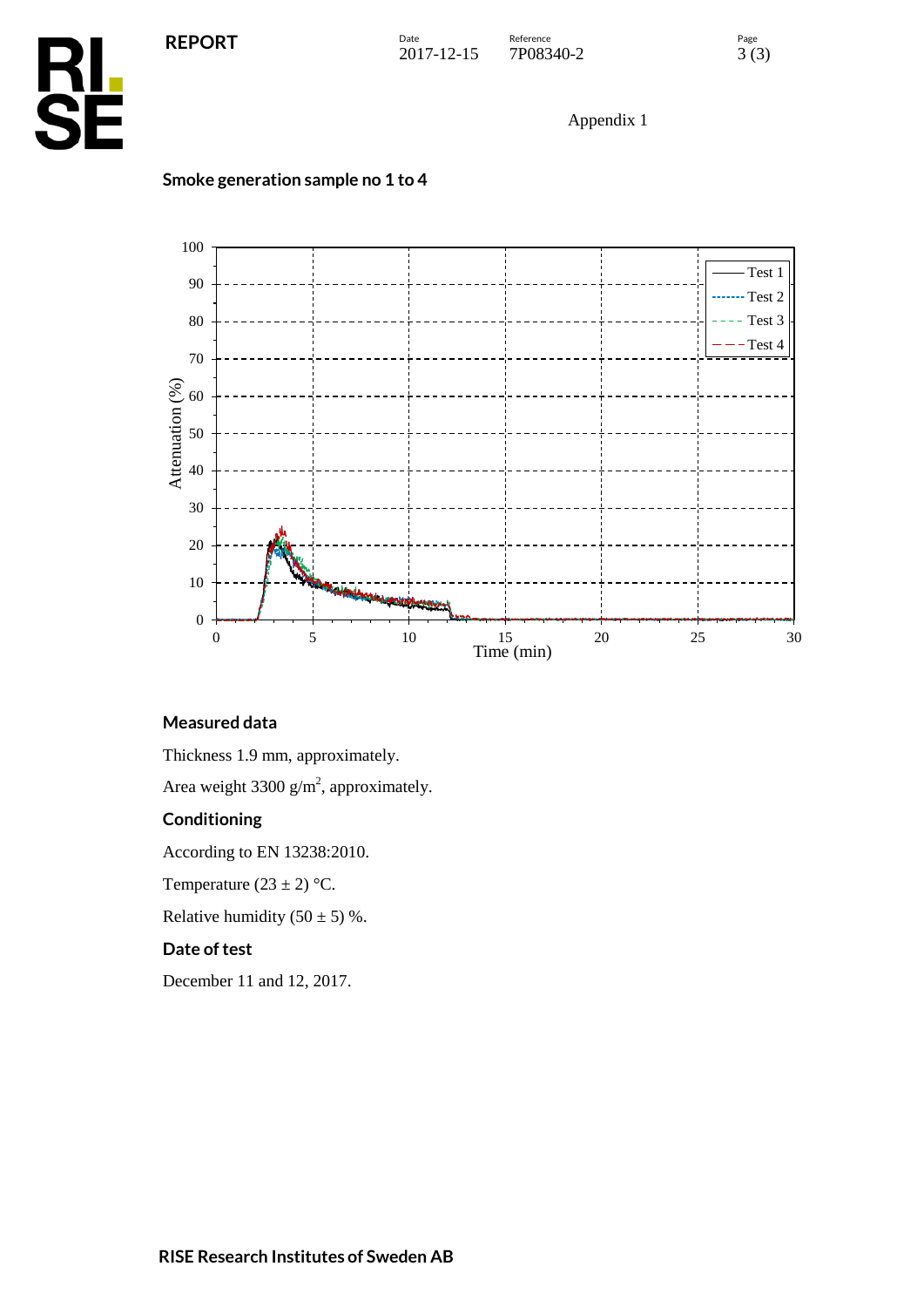

Appendix 1



### **Smoke generation sample no 1 to 4**



Thickness 1.9 mm, approximately.

Area weight  $3300 \text{ g/m}^2$ , approximately.

### **Conditioning**

According to EN 13238:2010.

Temperature  $(23 \pm 2)$  °C.

Relative humidity  $(50 \pm 5)$  %.

### **Date of test**

December 11 and 12, 2017.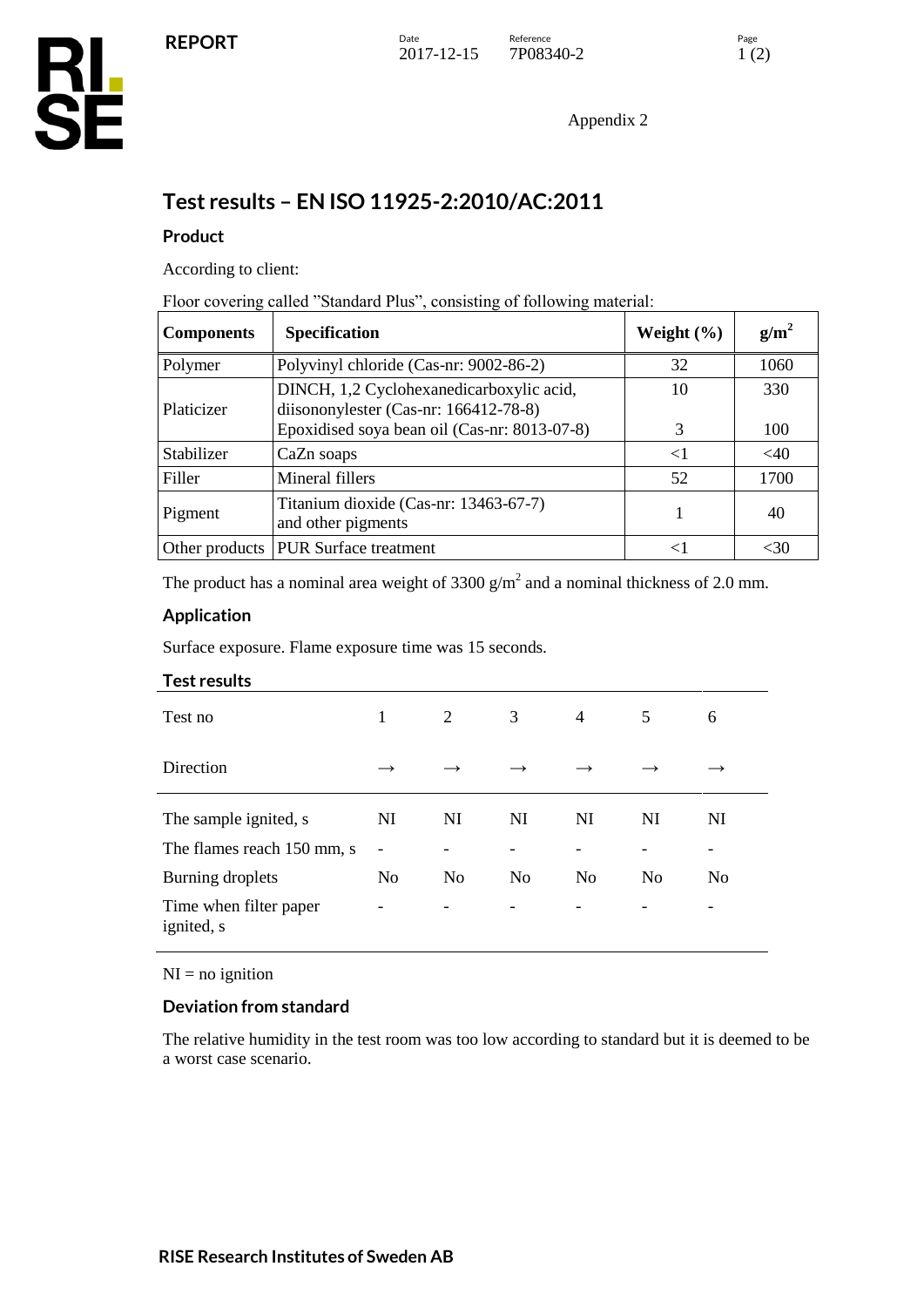Appendix 2

## **Test results – EN ISO 11925-2:2010/AC:2011**

### **Product**

According to client:

Floor covering called "Standard Plus", consisting of following material:

| <b>Components</b> | <b>Specification</b>                                                              | Weight $(\% )$ | $g/m^2$ |
|-------------------|-----------------------------------------------------------------------------------|----------------|---------|
| Polymer           | Polyvinyl chloride (Cas-nr: 9002-86-2)                                            | 32             | 1060    |
| Platicizer        | DINCH, 1,2 Cyclohexanedicarboxylic acid,<br>diisononylester (Cas-nr: 166412-78-8) | 10             | 330     |
|                   | Epoxidised soya bean oil (Cas-nr: 8013-07-8)                                      | 3              | 100     |
| Stabilizer        | CaZn soaps                                                                        | $\leq$ 1       | $<$ 40  |
| Filler            | Mineral fillers                                                                   | 52             | 1700    |
| Pigment           | Titanium dioxide (Cas-nr: 13463-67-7)<br>and other pigments                       |                | 40      |
| Other products    | <b>PUR Surface treatment</b>                                                      | $\lt$          | <30     |

The product has a nominal area weight of 3300  $g/m^2$  and a nominal thickness of 2.0 mm.

### **Application**

Surface exposure. Flame exposure time was 15 seconds.

#### **Test results**

| Test no                                        | 1                   | 2                                          | 3              | $\overline{4}$ | 5              | 6       |
|------------------------------------------------|---------------------|--------------------------------------------|----------------|----------------|----------------|---------|
| Direction                                      | $\rightarrow$       | $\rightarrow$                              |                |                |                |         |
| The sample ignited, s                          | NI                  | NI                                         | NI             | NI             | NI             | NI      |
| The flames reach 150 mm, s<br>Burning droplets | -<br>N <sub>0</sub> | $\overline{\phantom{0}}$<br>N <sub>0</sub> | N <sub>0</sub> | N <sub>0</sub> | N <sub>0</sub> | -<br>No |
| Time when filter paper<br>ignited, s           | -                   | -                                          | -              |                |                | -       |

#### $NI = no$  ignition

### **Deviation from standard**

The relative humidity in the test room was too low according to standard but it is deemed to be a worst case scenario.